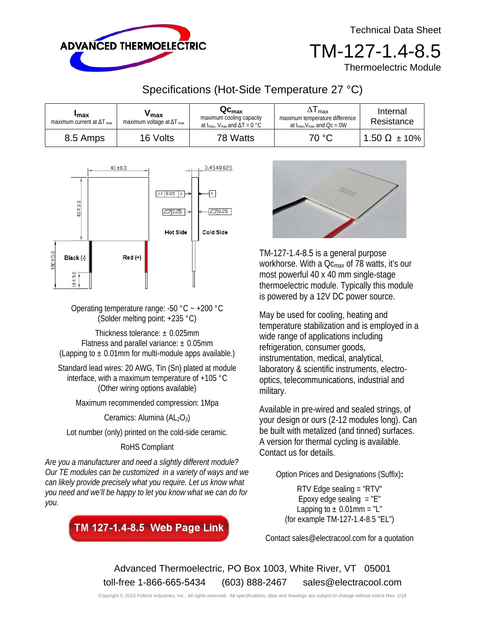Technical Data Sheet



TM-127-1.4-8.5

Thermoelectric Module

## Specifications (Hot-Side Temperature 27 °C)

| <b>I</b> max<br>maximum current at $\Delta T_{\text{max}}$ | 'max<br>maximum voltage at $\Delta T_{\text{max}}$ | $\mathbf{Q}\mathbf{c}_{\mathsf{max}}$<br>maximum cooling capacity<br>at $I_{max}$ , $V_{max}$ and $\Delta T = 0$ °C | l max<br>maximum temperature difference<br>at $I_{max}$ , $V_{max}$ and $Qc = 0W$ | Internal<br>Resistance |
|------------------------------------------------------------|----------------------------------------------------|---------------------------------------------------------------------------------------------------------------------|-----------------------------------------------------------------------------------|------------------------|
| 8.5 Amps                                                   | 16 Volts                                           | 78 Watts                                                                                                            | 70 °C                                                                             | $1.50 \Omega \pm 10\%$ |



Operating temperature range: -50  $^{\circ}$ C ~ +200  $^{\circ}$ C (Solder melting point: +235 °C)

Thickness tolerance:  $\pm$  0.025mm Flatness and parallel variance:  $\pm$  0.05mm (Lapping to  $\pm$  0.01mm for multi-module apps available.)

Standard lead wires: 20 AWG, Tin (Sn) plated at module interface, with a maximum temperature of +105 °C (Other wiring options available)

Maximum recommended compression: 1Mpa

Ceramics: Alumina  $(AL_2O_3)$ 

Lot number (only) printed on the cold-side ceramic.

RoHS Compliant

*Are you a manufacturer and need a slightly different module? Our TE modules can be customized in a variety of ways and we can likely provide precisely what you require. Let us know what you need and we'll be happy to let you know what we can do for you.* 





TM-127-1.4-8.5 is a general purpose workhorse. With a  $Qc_{\text{max}}$  of 78 watts, it's our most powerful 40 x 40 mm single-stage thermoelectric module. Typically this module is powered by a 12V DC power source.

May be used for cooling, heating and temperature stabilization and is employed in a wide range of applications including refrigeration, consumer goods, instrumentation, medical, analytical, laboratory & scientific instruments, electrooptics, telecommunications, industrial and military.

Available in pre-wired and sealed strings, of your design or ours (2-12 modules long). Can be built with metalized (and tinned) surfaces. A version for thermal cycling is available. Contact us for details.

Option Prices and Designations (Suffix)**:** 

RTV Edge sealing = "RTV" Epoxy edge sealing  $=$  "E" Lapping to  $\pm$  0.01mm = "L" (for example TM-127-1.4-8.5 "EL")

Contact sales@electracool.com for a quotation

Advanced Thermoelectric, PO Box 1003, White River, VT 05001 toll-free 1-866-665-5434 (603) 888-2467 sales@electracool.com